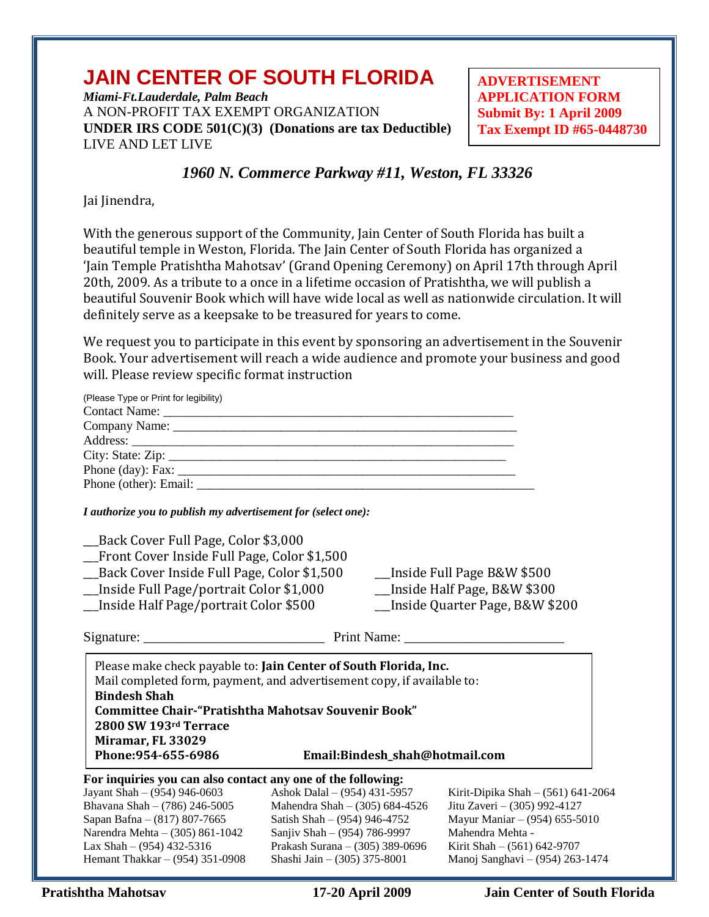# **JAIN CENTER OF SOUTH FLORIDA**

*Miami-Ft.Lauderdale, Palm Beach* A NON-PROFIT TAX EXEMPT ORGANIZATION **UNDER IRS CODE 501(C)(3) (Donations are tax Deductible)** LIVE AND LET LIVE

**ADVERTISEMENT APPLICATION FORM Submit By: 1 April 2009 Tax Exempt ID #65-0448730**

### *1960 N. Commerce Parkway #11, Weston, FL 33326*

Jai Jinendra,

With the generous support of the Community, Jain Center of South Florida has built a beautiful temple in Weston, Florida. The Jain Center of South Florida has organized a 'Jain Temple Pratishtha Mahotsav' (Grand Opening Ceremony) on April 17th through April 20th, 2009. As a tribute to a once in a lifetime occasion of Pratishtha, we will publish a beautiful Souvenir Book which will have wide local as well as nationwide circulation. It will definitely serve as a keepsake to be treasured for years to come.

We request you to participate in this event by sponsoring an advertisement in the Souvenir Book. Your advertisement will reach a wide audience and promote your business and good will. Please review specific format instruction

| (Please Type or Print for legibility)                                                                                                                                                                                                                                                                                                  |                                                                                                                                                                                                   |                                                                                                                                                                                           |  |
|----------------------------------------------------------------------------------------------------------------------------------------------------------------------------------------------------------------------------------------------------------------------------------------------------------------------------------------|---------------------------------------------------------------------------------------------------------------------------------------------------------------------------------------------------|-------------------------------------------------------------------------------------------------------------------------------------------------------------------------------------------|--|
|                                                                                                                                                                                                                                                                                                                                        |                                                                                                                                                                                                   |                                                                                                                                                                                           |  |
|                                                                                                                                                                                                                                                                                                                                        |                                                                                                                                                                                                   |                                                                                                                                                                                           |  |
| I authorize you to publish my advertisement for (select one):                                                                                                                                                                                                                                                                          |                                                                                                                                                                                                   |                                                                                                                                                                                           |  |
| Back Cover Full Page, Color \$3,000                                                                                                                                                                                                                                                                                                    |                                                                                                                                                                                                   |                                                                                                                                                                                           |  |
| Front Cover Inside Full Page, Color \$1,500                                                                                                                                                                                                                                                                                            |                                                                                                                                                                                                   |                                                                                                                                                                                           |  |
| __Back Cover Inside Full Page, Color \$1,500                                                                                                                                                                                                                                                                                           |                                                                                                                                                                                                   | __Inside Full Page B&W \$500                                                                                                                                                              |  |
| _Inside Full Page/portrait Color \$1,000                                                                                                                                                                                                                                                                                               |                                                                                                                                                                                                   | _Inside Half Page, B&W \$300                                                                                                                                                              |  |
| __Inside Quarter Page, B&W \$200<br>_Inside Half Page/portrait Color \$500                                                                                                                                                                                                                                                             |                                                                                                                                                                                                   |                                                                                                                                                                                           |  |
|                                                                                                                                                                                                                                                                                                                                        |                                                                                                                                                                                                   |                                                                                                                                                                                           |  |
| Please make check payable to: Jain Center of South Florida, Inc.<br>Mail completed form, payment, and advertisement copy, if available to:<br><b>Bindesh Shah</b><br><b>Committee Chair-"Pratishtha Mahotsav Souvenir Book"</b><br>2800 SW 193rd Terrace<br>Miramar, FL 33029<br>Phone: 954-655-6986<br>Email:Bindesh_shah@hotmail.com |                                                                                                                                                                                                   |                                                                                                                                                                                           |  |
| For inquiries you can also contact any one of the following:<br>Jayant Shah - (954) 946-0603<br>Bhavana Shah - (786) 246-5005<br>Sapan Bafna - (817) 807-7665<br>Narendra Mehta - (305) 861-1042<br>Lax Shah $- (954)$ 432-5316<br>Hemant Thakkar - (954) 351-0908                                                                     | Ashok Dalal - (954) 431-5957<br>Mahendra Shah - (305) 684-4526<br>Satish Shah - (954) 946-4752<br>Sanjiv Shah - (954) 786-9997<br>Prakash Surana - (305) 389-0696<br>Shashi Jain - (305) 375-8001 | Kirit-Dipika Shah - (561) 641-2064<br>Jitu Zaveri - (305) 992-4127<br>Mayur Maniar - (954) 655-5010<br>Mahendra Mehta -<br>Kirit Shah - (561) 642-9707<br>Manoj Sanghavi - (954) 263-1474 |  |

**Pratishtha Mahotsav 17-20 April 2009 Jain Center of South Florida**